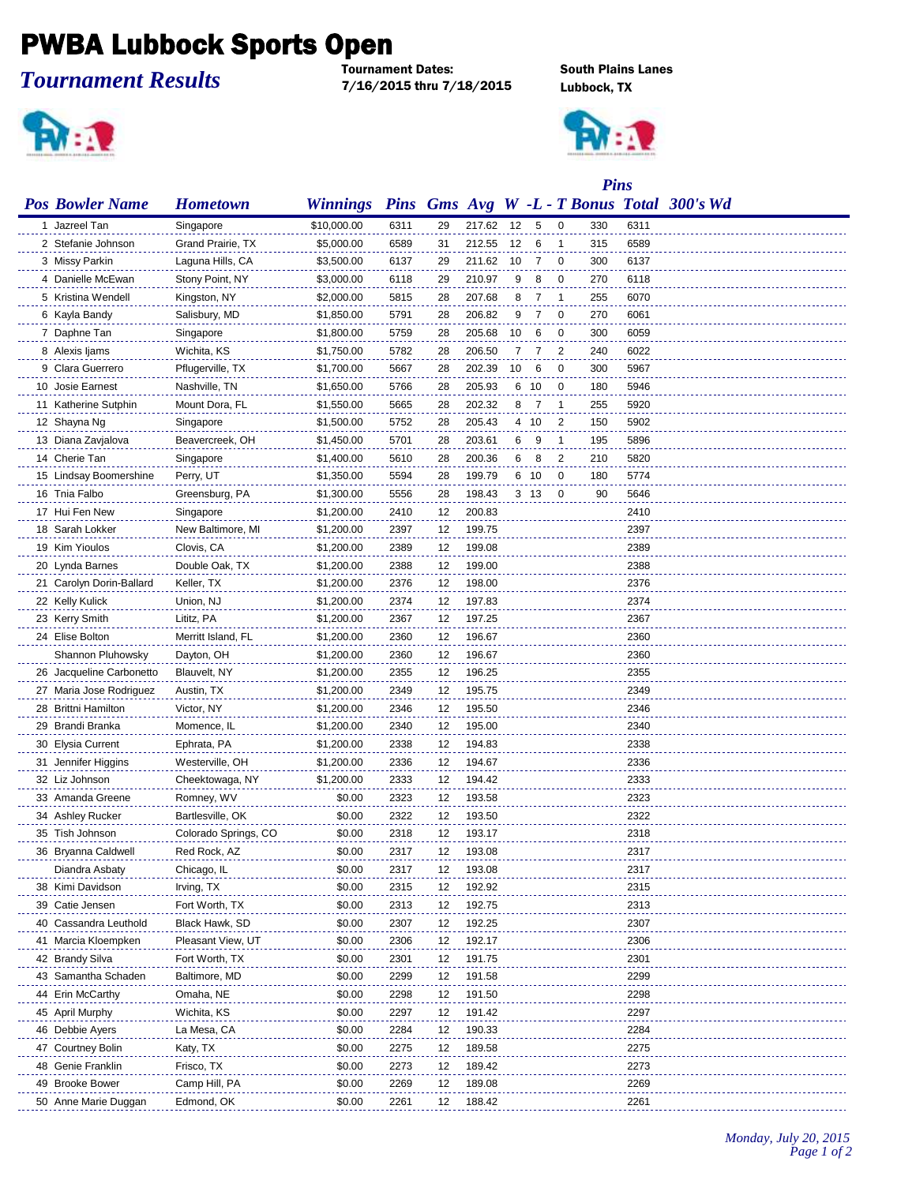## **PWBA Lubbock Sports Open**

*Tournament Results*

7/16/2015 thru 7/18/2015 Lubbock, TX



**South Plains Lanes** 



|                          |                      |                                                     |      |    | <b>Pins</b> |    |                 |                |     |      |  |
|--------------------------|----------------------|-----------------------------------------------------|------|----|-------------|----|-----------------|----------------|-----|------|--|
| <b>Pos Bowler Name</b>   | <b>Hometown</b>      | Winnings Pins Gms Avg W -L - T Bonus Total 300's Wd |      |    |             |    |                 |                |     |      |  |
| 1 Jazreel Tan            | Singapore            | \$10,000.00                                         | 6311 | 29 | 217.62      | 12 | 5               | $\overline{0}$ | 330 | 6311 |  |
| 2 Stefanie Johnson       | Grand Prairie, TX    | \$5,000.00                                          | 6589 | 31 | 212.55      | 12 | 6               | $\overline{1}$ | 315 | 6589 |  |
| 3 Missy Parkin           | Laguna Hills, CA     | \$3,500.00                                          | 6137 | 29 | 211.62      | 10 | 7               | $\overline{0}$ | 300 | 6137 |  |
| 4 Danielle McEwan        | Stony Point, NY      | \$3,000.00                                          | 6118 | 29 | 210.97      | 9  | 8               | $\overline{0}$ | 270 | 6118 |  |
| 5 Kristina Wendell       | Kingston, NY         | \$2,000.00                                          | 5815 | 28 | 207.68      | 8  | 7               | $\overline{1}$ | 255 | 6070 |  |
| 6 Kayla Bandy            | Salisbury, MD        | \$1,850.00                                          | 5791 | 28 | 206.82      | 9  | 7               | $\overline{0}$ | 270 | 6061 |  |
| 7 Daphne Tan             | Singapore            | \$1,800.00                                          | 5759 | 28 | 205.68      | 10 | 6               | $\overline{0}$ | 300 | 6059 |  |
| 8 Alexis Ijams           | Wichita, KS          | \$1,750.00                                          | 5782 | 28 | 206.50      | 7  | 7               | $\overline{2}$ | 240 | 6022 |  |
| 9 Clara Guerrero         | Pflugerville, TX     | \$1,700.00                                          | 5667 | 28 | 202.39      | 10 | 6               | $\mathbf 0$    | 300 | 5967 |  |
| 10 Josie Earnest         | Nashville, TN        | \$1,650.00                                          | 5766 | 28 | 205.93      |    | 6 10            | $\overline{0}$ | 180 | 5946 |  |
| 11 Katherine Sutphin     | Mount Dora, FL       | \$1,550.00                                          | 5665 | 28 | 202.32      | 8  | 7               | $\overline{1}$ | 255 | 5920 |  |
| 12 Shayna Ng             | Singapore            | \$1,500.00                                          | 5752 | 28 | 205.43      |    | 4 10            | 2              | 150 | 5902 |  |
| 13 Diana Zavjalova       | Beavercreek, OH      | \$1,450.00                                          | 5701 | 28 | 203.61      | 6  | 9               | $\overline{1}$ | 195 | 5896 |  |
| 14 Cherie Tan            | Singapore            | \$1,400.00                                          | 5610 | 28 | 200.36      | 6  | 8               | $\overline{2}$ | 210 | 5820 |  |
| 15 Lindsay Boomershine   | Perry, UT            | \$1,350.00                                          | 5594 | 28 | 199.79      |    | 6 10            | $\mathbf 0$    | 180 | 5774 |  |
| 16 Tnia Falbo            | Greensburg, PA       | \$1,300.00                                          | 5556 | 28 | 198.43      |    | 3 <sub>13</sub> | $\mathbf 0$    | 90  | 5646 |  |
| 17 Hui Fen New           | Singapore            | \$1,200.00                                          | 2410 | 12 | 200.83      |    |                 |                |     | 2410 |  |
| 18 Sarah Lokker          | New Baltimore, MI    | \$1,200.00                                          | 2397 | 12 | 199.75      |    |                 |                |     | 2397 |  |
| 19 Kim Yioulos           | Clovis, CA           | \$1,200.00                                          | 2389 | 12 | 199.08      |    |                 |                |     | 2389 |  |
| 20 Lynda Barnes          | Double Oak, TX       | \$1,200.00                                          | 2388 | 12 | 199.00      |    |                 |                |     | 2388 |  |
| 21 Carolyn Dorin-Ballard | Keller, TX           | \$1,200.00                                          | 2376 | 12 | 198.00      |    |                 |                |     | 2376 |  |
| 22 Kelly Kulick          | Union, NJ            | \$1,200.00                                          | 2374 | 12 | 197.83      |    |                 |                |     | 2374 |  |
| 23 Kerry Smith           | Lititz, PA           | \$1,200.00                                          | 2367 | 12 | 197.25      |    |                 |                |     | 2367 |  |
| 24 Elise Bolton          | Merritt Island, FL   | \$1,200.00                                          | 2360 | 12 | 196.67      |    |                 |                |     | 2360 |  |
| Shannon Pluhowsky        | Dayton, OH           | \$1,200.00                                          | 2360 | 12 | 196.67      |    |                 |                |     | 2360 |  |
| 26 Jacqueline Carbonetto | Blauvelt, NY         | \$1,200.00                                          | 2355 | 12 | 196.25      |    |                 |                |     | 2355 |  |
| 27 Maria Jose Rodriguez  | Austin, TX           | \$1,200.00                                          | 2349 | 12 | 195.75      |    |                 |                |     | 2349 |  |
| 28 Brittni Hamilton      | Victor, NY           | \$1,200.00                                          | 2346 | 12 | 195.50      |    |                 |                |     | 2346 |  |
| 29 Brandi Branka         | Momence, IL          | \$1,200.00                                          | 2340 | 12 | 195.00      |    |                 |                |     | 2340 |  |
| 30 Elysia Current        | Ephrata, PA          | \$1,200.00                                          | 2338 | 12 | 194.83      |    |                 |                |     | 2338 |  |
| 31 Jennifer Higgins      | Westerville, OH      | \$1,200.00                                          | 2336 | 12 | 194.67      |    |                 |                |     | 2336 |  |
| 32 Liz Johnson           | Cheektowaga, NY      | \$1,200.00                                          | 2333 | 12 | 194.42      |    |                 |                |     | 2333 |  |
| 33 Amanda Greene         | Romney, WV           | \$0.00                                              | 2323 | 12 | 193.58      |    |                 |                |     | 2323 |  |
| 34 Ashley Rucker         | Bartlesville, OK     | \$0.00                                              | 2322 | 12 | 193.50      |    |                 |                |     | 2322 |  |
| 35 Tish Johnson          | Colorado Springs, CO | \$0.00                                              | 2318 | 12 | 193.17      |    |                 |                |     | 2318 |  |
| 36 Bryanna Caldwell      | Red Rock, AZ         | \$0.00                                              | 2317 | 12 | 193.08      |    |                 |                |     | 2317 |  |
| Diandra Asbaty           | Chicago, IL          | \$0.00                                              | 2317 | 12 | 193.08      |    |                 |                |     | 2317 |  |
| 38 Kimi Davidson         | Irving, TX           | \$0.00                                              | 2315 | 12 | 192.92      |    |                 |                |     | 2315 |  |
| 39 Catie Jensen          | Fort Worth, TX       | \$0.00                                              | 2313 | 12 | 192.75      |    |                 |                |     | 2313 |  |
| 40 Cassandra Leuthold    | Black Hawk, SD       | \$0.00                                              | 2307 | 12 | 192.25      |    |                 |                |     | 2307 |  |
| 41 Marcia Kloempken      | Pleasant View, UT    | \$0.00                                              | 2306 | 12 | 192.17      |    |                 |                |     | 2306 |  |
| 42 Brandy Silva          | Fort Worth, TX       | \$0.00                                              | 2301 | 12 | 191.75      |    |                 |                |     | 2301 |  |
| 43 Samantha Schaden      | Baltimore, MD        | \$0.00                                              | 2299 | 12 | 191.58      |    |                 |                |     | 2299 |  |
| 44 Erin McCarthy         | Omaha, NE            | \$0.00                                              | 2298 | 12 | 191.50      |    |                 |                |     | 2298 |  |
| 45 April Murphy          | Wichita, KS          | \$0.00                                              | 2297 | 12 | 191.42      |    |                 |                |     | 2297 |  |
| 46 Debbie Ayers          | La Mesa, CA          | \$0.00                                              | 2284 | 12 | 190.33      |    |                 |                |     | 2284 |  |
| 47 Courtney Bolin        | Katy, TX             | \$0.00                                              | 2275 | 12 | 189.58      |    |                 |                |     | 2275 |  |
| 48 Genie Franklin        | Frisco, TX           | \$0.00                                              | 2273 | 12 | 189.42      |    |                 |                |     | 2273 |  |
| 49 Brooke Bower          | Camp Hill, PA        | \$0.00                                              | 2269 | 12 | 189.08      |    |                 |                |     | 2269 |  |
| 50 Anne Marie Duggan     | Edmond, OK           | \$0.00                                              | 2261 | 12 | 188.42      |    |                 |                |     | 2261 |  |